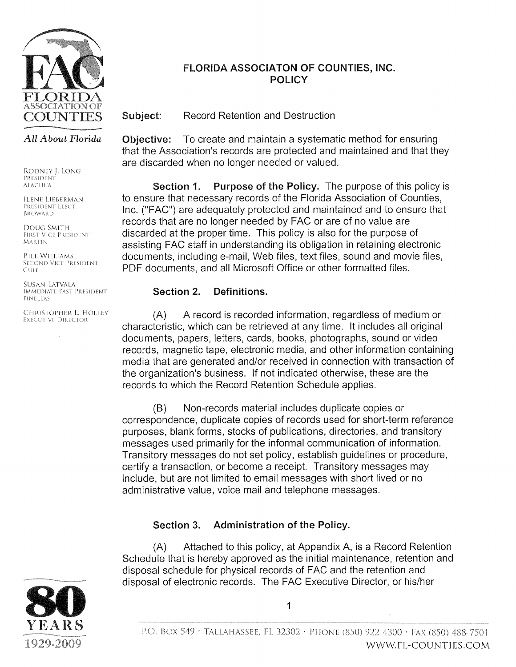

#### FLORIDA ASSOCIATON OF COUNTIES, INC. **POLICY**

Subject: **Record Retention and Destruction** 

#### All About Florida

RODNEY J. LONG PRESIDENT **ALACHUA** 

**ILENE LIEBERMAN** PRESIDENT ELECT BROWARD

DOUG SMITH **FIRST VICE PRESIDENT MARTIN** 

**BILL WILLIAMS SECOND VICE PRESIDENT** GULF

SUSAN LATVALA IMMEDIATE PAST PRESIDENT PINELLAS

CHRISTOPHER L. HOLLEY **EXECUTIVE DIRECTOR** 

Objective: To create and maintain a systematic method for ensuring that the Association's records are protected and maintained and that they are discarded when no longer needed or valued.

Purpose of the Policy. The purpose of this policy is Section 1. to ensure that necessary records of the Florida Association of Counties, Inc. ("FAC") are adequately protected and maintained and to ensure that records that are no longer needed by FAC or are of no value are discarded at the proper time. This policy is also for the purpose of assisting FAC staff in understanding its obligation in retaining electronic documents, including e-mail, Web files, text files, sound and movie files, PDF documents, and all Microsoft Office or other formatted files.

#### Section 2. Definitions.

 $(A)$ A record is recorded information, regardless of medium or characteristic, which can be retrieved at any time. It includes all original documents, papers, letters, cards, books, photographs, sound or video records, magnetic tape, electronic media, and other information containing media that are generated and/or received in connection with transaction of the organization's business. If not indicated otherwise, these are the records to which the Record Retention Schedule applies.

Non-records material includes duplicate copies or  $(B)$ correspondence, duplicate copies of records used for short-term reference purposes, blank forms, stocks of publications, directories, and transitory messages used primarily for the informal communication of information. Transitory messages do not set policy, establish guidelines or procedure, certify a transaction, or become a receipt. Transitory messages may include, but are not limited to email messages with short lived or no administrative value, voice mail and telephone messages.

#### Section 3. Administration of the Policy.

 $(A)$ Attached to this policy, at Appendix A, is a Record Retention Schedule that is hereby approved as the initial maintenance, retention and disposal schedule for physical records of FAC and the retention and disposal of electronic records. The FAC Executive Director, or his/her

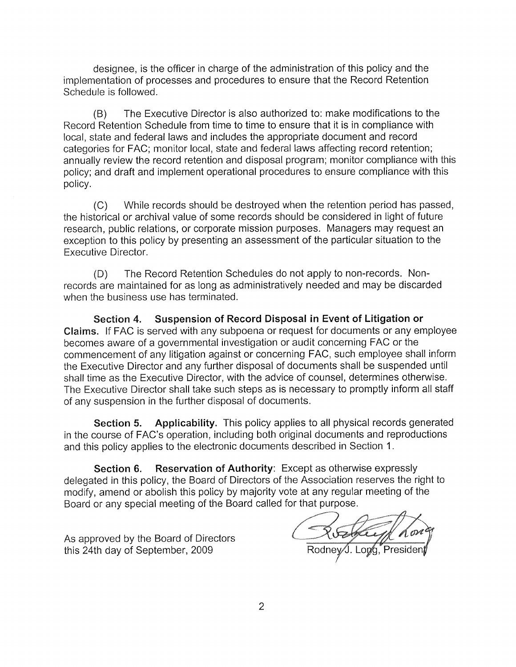designee, is the officer in charge of the administration of this policy and the implementation of processes and procedures to ensure that the Record Retention Schedule is followed.

The Executive Director is also authorized to: make modifications to the  $(B)$ Record Retention Schedule from time to time to ensure that it is in compliance with local, state and federal laws and includes the appropriate document and record categories for FAC; monitor local, state and federal laws affecting record retention; annually review the record retention and disposal program; monitor compliance with this policy; and draft and implement operational procedures to ensure compliance with this policy.

While records should be destroyed when the retention period has passed,  $(C)$ the historical or archival value of some records should be considered in light of future research, public relations, or corporate mission purposes. Managers may request an exception to this policy by presenting an assessment of the particular situation to the **Executive Director.** 

The Record Retention Schedules do not apply to non-records. Non- $(D)$ records are maintained for as long as administratively needed and may be discarded when the business use has terminated.

Section 4. Suspension of Record Disposal in Event of Litigation or Claims. If FAC is served with any subpoena or request for documents or any employee becomes aware of a governmental investigation or audit concerning FAC or the commencement of any litigation against or concerning FAC, such employee shall inform the Executive Director and any further disposal of documents shall be suspended until shall time as the Executive Director, with the advice of counsel, determines otherwise. The Executive Director shall take such steps as is necessary to promptly inform all staff of any suspension in the further disposal of documents.

Applicability. This policy applies to all physical records generated Section 5. in the course of FAC's operation, including both original documents and reproductions and this policy applies to the electronic documents described in Section 1.

Reservation of Authority: Except as otherwise expressly Section 6. delegated in this policy, the Board of Directors of the Association reserves the right to modify, amend or abolish this policy by majority vote at any regular meeting of the Board or any special meeting of the Board called for that purpose.

As approved by the Board of Directors this 24th day of September, 2009

Rodney J. Long, Pres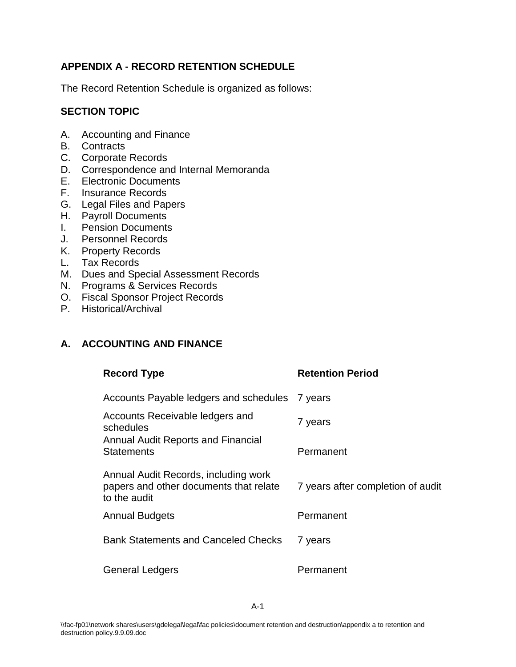#### **APPENDIX A - RECORD RETENTION SCHEDULE**

The Record Retention Schedule is organized as follows:

#### **SECTION TOPIC**

- A. Accounting and Finance
- B. Contracts
- C. Corporate Records
- D. Correspondence and Internal Memoranda
- E. Electronic Documents
- F. Insurance Records
- G. Legal Files and Papers
- H. Payroll Documents
- I. Pension Documents
- J. Personnel Records
- K. Property Records
- L. Tax Records
- M. Dues and Special Assessment Records
- N. Programs & Services Records
- O. Fiscal Sponsor Project Records
- P. Historical/Archival

### **A. ACCOUNTING AND FINANCE**

| <b>Record Type</b>                                                                             | <b>Retention Period</b>           |
|------------------------------------------------------------------------------------------------|-----------------------------------|
| Accounts Payable ledgers and schedules                                                         | / years                           |
| Accounts Receivable ledgers and<br>schedules                                                   | 7 years                           |
| <b>Annual Audit Reports and Financial</b><br><b>Statements</b>                                 | Permanent                         |
| Annual Audit Records, including work<br>papers and other documents that relate<br>to the audit | 7 years after completion of audit |
| <b>Annual Budgets</b>                                                                          | Permanent                         |
| <b>Bank Statements and Canceled Checks</b>                                                     | 7 years                           |
| <b>General Ledgers</b>                                                                         | Permanent                         |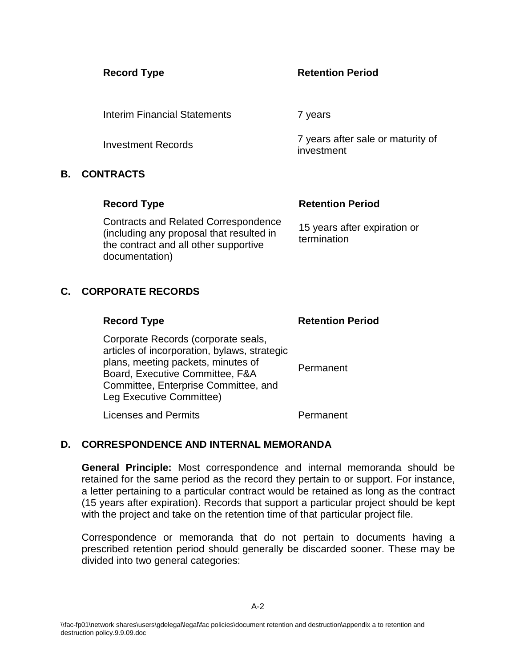#### **Record Type Retention Period**

investment

Interim Financial Statements 7 years

Investment Records 7 years after sale or maturity of

#### **B. CONTRACTS**

# **Record Type Retention Period** Contracts and Related Correspondence

(including any proposal that resulted in the contract and all other supportive documentation)

15 years after expiration or termination

## **C. CORPORATE RECORDS**

| <b>Record Type</b>                                                                                                                                                                                                               | <b>Retention Period</b> |
|----------------------------------------------------------------------------------------------------------------------------------------------------------------------------------------------------------------------------------|-------------------------|
| Corporate Records (corporate seals,<br>articles of incorporation, bylaws, strategic<br>plans, meeting packets, minutes of<br>Board, Executive Committee, F&A<br>Committee, Enterprise Committee, and<br>Leg Executive Committee) | Permanent               |
| <b>Licenses and Permits</b>                                                                                                                                                                                                      | Permanent               |

### **D. CORRESPONDENCE AND INTERNAL MEMORANDA**

**General Principle:** Most correspondence and internal memoranda should be retained for the same period as the record they pertain to or support. For instance, a letter pertaining to a particular contract would be retained as long as the contract (15 years after expiration). Records that support a particular project should be kept with the project and take on the retention time of that particular project file.

Correspondence or memoranda that do not pertain to documents having a prescribed retention period should generally be discarded sooner. These may be divided into two general categories: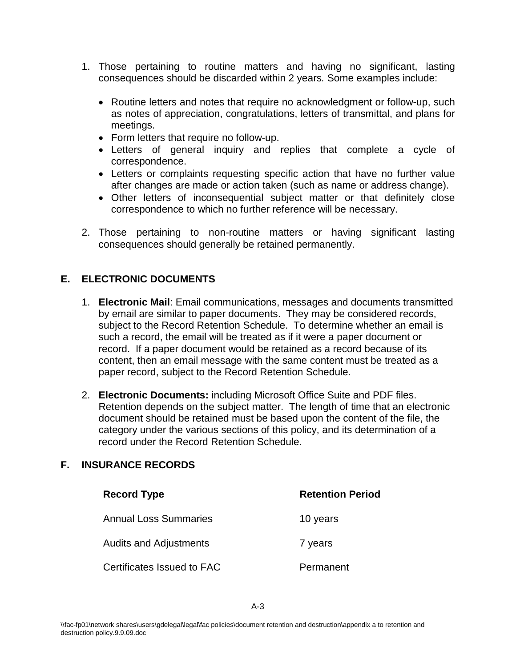- 1. Those pertaining to routine matters and having no significant, lasting consequences should be discarded within 2 years*.* Some examples include:
	- Routine letters and notes that require no acknowledgment or follow-up, such as notes of appreciation, congratulations, letters of transmittal, and plans for meetings.
	- Form letters that require no follow-up.
	- Letters of general inquiry and replies that complete a cycle of correspondence.
	- Letters or complaints requesting specific action that have no further value after changes are made or action taken (such as name or address change).
	- Other letters of inconsequential subject matter or that definitely close correspondence to which no further reference will be necessary.
- 2. Those pertaining to non-routine matters or having significant lasting consequences should generally be retained permanently.

#### **E. ELECTRONIC DOCUMENTS**

- 1. **Electronic Mail**: Email communications, messages and documents transmitted by email are similar to paper documents. They may be considered records, subject to the Record Retention Schedule. To determine whether an email is such a record, the email will be treated as if it were a paper document or record. If a paper document would be retained as a record because of its content, then an email message with the same content must be treated as a paper record, subject to the Record Retention Schedule.
- 2. **Electronic Documents:** including Microsoft Office Suite and PDF files. Retention depends on the subject matter. The length of time that an electronic document should be retained must be based upon the content of the file, the category under the various sections of this policy, and its determination of a record under the Record Retention Schedule.

#### **F. INSURANCE RECORDS**

| <b>Record Type</b>            | <b>Retention Period</b> |
|-------------------------------|-------------------------|
| <b>Annual Loss Summaries</b>  | 10 years                |
| <b>Audits and Adjustments</b> | 7 years                 |
| Certificates Issued to FAC    | Permanent               |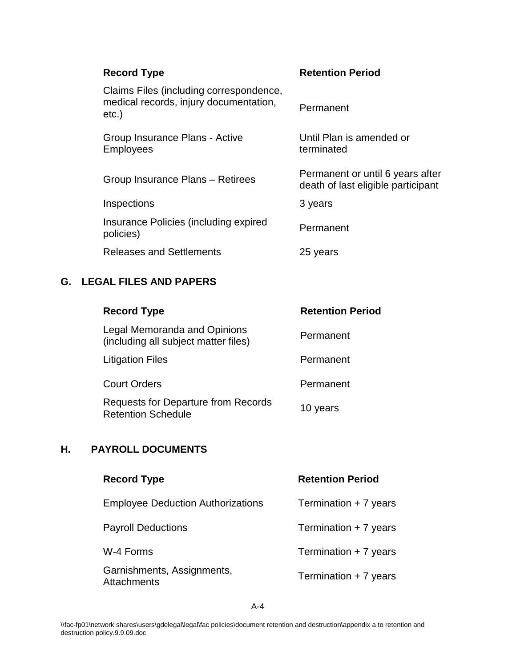| <b>Record Type</b>                                                                            | <b>Retention Period</b>                                                |
|-----------------------------------------------------------------------------------------------|------------------------------------------------------------------------|
| Claims Files (including correspondence,<br>medical records, injury documentation,<br>$etc.$ ) | Permanent                                                              |
| Group Insurance Plans - Active<br><b>Employees</b>                                            | Until Plan is amended or<br>terminated                                 |
| Group Insurance Plans - Retirees                                                              | Permanent or until 6 years after<br>death of last eligible participant |
| Inspections                                                                                   | 3 years                                                                |
| Insurance Policies (including expired<br>policies)                                            | Permanent                                                              |
| <b>Releases and Settlements</b>                                                               | 25 years                                                               |

## **G. LEGAL FILES AND PAPERS**

| <b>Record Type</b>                                                      | <b>Retention Period</b> |
|-------------------------------------------------------------------------|-------------------------|
| Legal Memoranda and Opinions<br>(including all subject matter files)    | Permanent               |
| <b>Litigation Files</b>                                                 | Permanent               |
| <b>Court Orders</b>                                                     | Permanent               |
| <b>Requests for Departure from Records</b><br><b>Retention Schedule</b> | 10 years                |

## **H. PAYROLL DOCUMENTS**

| <b>Record Type</b>                               | <b>Retention Period</b> |
|--------------------------------------------------|-------------------------|
| <b>Employee Deduction Authorizations</b>         | Termination + 7 years   |
| <b>Payroll Deductions</b>                        | Termination + 7 years   |
| W-4 Forms                                        | Termination + 7 years   |
| Garnishments, Assignments,<br><b>Attachments</b> | Termination + 7 years   |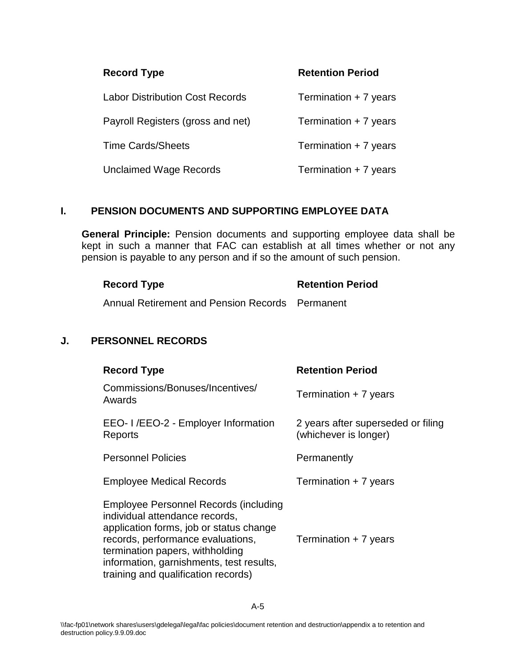| <b>Record Type</b>                | <b>Retention Period</b> |
|-----------------------------------|-------------------------|
| Labor Distribution Cost Records   | Termination + 7 years   |
| Payroll Registers (gross and net) | Termination + 7 years   |
| <b>Time Cards/Sheets</b>          | Termination + 7 years   |
| Unclaimed Wage Records            | Termination + 7 years   |

#### **I. PENSION DOCUMENTS AND SUPPORTING EMPLOYEE DATA**

**General Principle:** Pension documents and supporting employee data shall be kept in such a manner that FAC can establish at all times whether or not any pension is payable to any person and if so the amount of such pension.

| <b>Record Type</b>                              | <b>Retention Period</b> |
|-------------------------------------------------|-------------------------|
| Annual Retirement and Pension Records Permanent |                         |

#### **J. PERSONNEL RECORDS**

| <b>Record Type</b>                                                                                                                                                                                                                                                                   | <b>Retention Period</b>                                     |
|--------------------------------------------------------------------------------------------------------------------------------------------------------------------------------------------------------------------------------------------------------------------------------------|-------------------------------------------------------------|
| Commissions/Bonuses/Incentives/<br>Awards                                                                                                                                                                                                                                            | Termination + 7 years                                       |
| EEO- I /EEO-2 - Employer Information<br>Reports                                                                                                                                                                                                                                      | 2 years after superseded or filing<br>(whichever is longer) |
| <b>Personnel Policies</b>                                                                                                                                                                                                                                                            | Permanently                                                 |
| <b>Employee Medical Records</b>                                                                                                                                                                                                                                                      | Termination + 7 years                                       |
| <b>Employee Personnel Records (including</b><br>individual attendance records.<br>application forms, job or status change<br>records, performance evaluations,<br>termination papers, withholding<br>information, garnishments, test results,<br>training and qualification records) | Termination + 7 years                                       |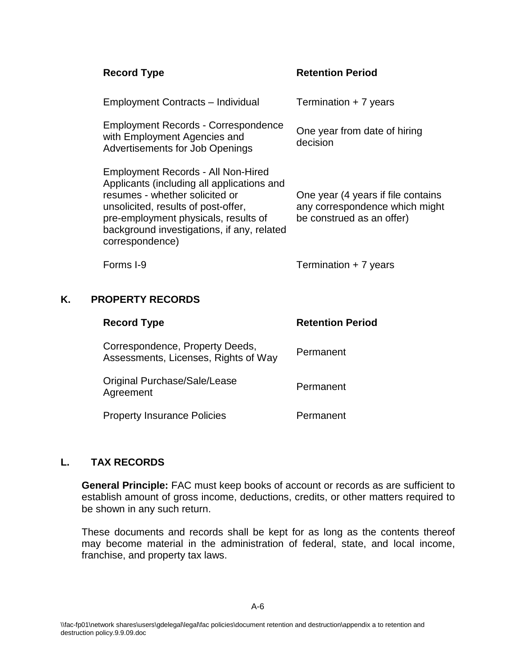| <b>Record Type</b>                                                                                                                                                                                                                                                 | <b>Retention Period</b>                                                                           |
|--------------------------------------------------------------------------------------------------------------------------------------------------------------------------------------------------------------------------------------------------------------------|---------------------------------------------------------------------------------------------------|
| <b>Employment Contracts – Individual</b>                                                                                                                                                                                                                           | Termination + 7 years                                                                             |
| Employment Records - Correspondence<br>with Employment Agencies and<br><b>Advertisements for Job Openings</b>                                                                                                                                                      | One year from date of hiring<br>decision                                                          |
| Employment Records - All Non-Hired<br>Applicants (including all applications and<br>resumes - whether solicited or<br>unsolicited, results of post-offer,<br>pre-employment physicals, results of<br>background investigations, if any, related<br>correspondence) | One year (4 years if file contains<br>any correspondence which might<br>be construed as an offer) |
| Forms I-9                                                                                                                                                                                                                                                          | Termination + 7 years                                                                             |
|                                                                                                                                                                                                                                                                    |                                                                                                   |

#### **K. PROPERTY RECORDS**

| <b>Record Type</b>                                                      | <b>Retention Period</b> |
|-------------------------------------------------------------------------|-------------------------|
| Correspondence, Property Deeds,<br>Assessments, Licenses, Rights of Way | Permanent               |
| Original Purchase/Sale/Lease<br>Agreement                               | Permanent               |
| <b>Property Insurance Policies</b>                                      | Permanent               |

### **L. TAX RECORDS**

**General Principle:** FAC must keep books of account or records as are sufficient to establish amount of gross income, deductions, credits, or other matters required to be shown in any such return.

These documents and records shall be kept for as long as the contents thereof may become material in the administration of federal, state, and local income, franchise, and property tax laws.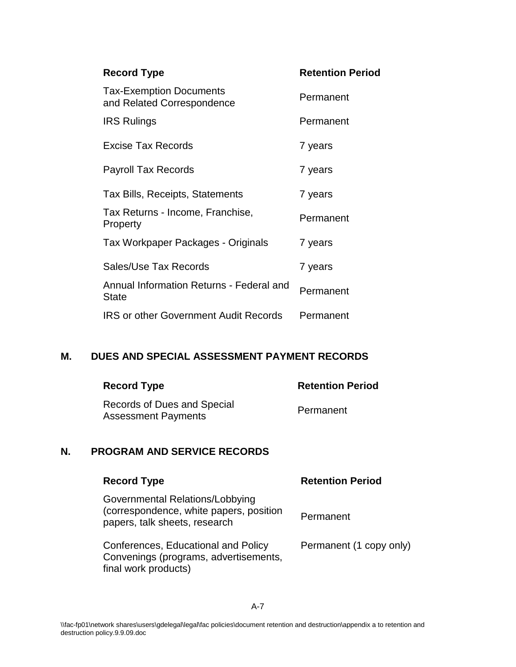| <b>Record Type</b>                                           | <b>Retention Period</b> |
|--------------------------------------------------------------|-------------------------|
| <b>Tax-Exemption Documents</b><br>and Related Correspondence | Permanent               |
| <b>IRS Rulings</b>                                           | Permanent               |
| <b>Excise Tax Records</b>                                    | 7 years                 |
| <b>Payroll Tax Records</b>                                   | 7 years                 |
| Tax Bills, Receipts, Statements                              | 7 years                 |
| Tax Returns - Income, Franchise,<br>Property                 | Permanent               |
| Tax Workpaper Packages - Originals                           | 7 years                 |
| Sales/Use Tax Records                                        | 7 years                 |
| Annual Information Returns - Federal and<br><b>State</b>     | Permanent               |
| <b>IRS or other Government Audit Records</b>                 | Permanent               |

#### **M. DUES AND SPECIAL ASSESSMENT PAYMENT RECORDS**

| <b>Record Type</b>                                        | <b>Retention Period</b> |
|-----------------------------------------------------------|-------------------------|
| Records of Dues and Special<br><b>Assessment Payments</b> | Permanent               |

### **N. PROGRAM AND SERVICE RECORDS**

| <b>Record Type</b>                                                                                          | <b>Retention Period</b> |
|-------------------------------------------------------------------------------------------------------------|-------------------------|
| Governmental Relations/Lobbying<br>(correspondence, white papers, position<br>papers, talk sheets, research | Permanent               |
| Conferences, Educational and Policy<br>Convenings (programs, advertisements,<br>final work products)        | Permanent (1 copy only) |